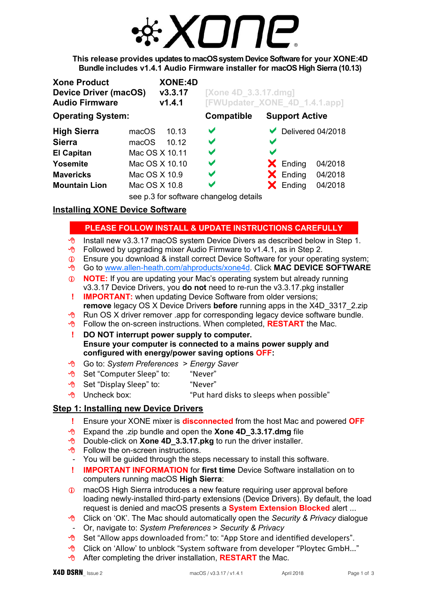

**This release provides updates to macOSsystem Device Software for your XONE:4D Bundle includes v1.4.1 Audio Firmware installer for macOS High Sierra (10.13)** 

| <b>Xone Product</b><br><b>Device Driver (macOS)</b><br><b>Audio Firmware</b> |                | <b>XONE:4D</b><br>V3.3.17<br>V1.4.1 | [Xone 4D_3.3.17.dmg]<br>[FWUpdater XONE 4D 1.4.1.app] |                       |                       |                   |
|------------------------------------------------------------------------------|----------------|-------------------------------------|-------------------------------------------------------|-----------------------|-----------------------|-------------------|
| <b>Operating System:</b>                                                     |                |                                     | <b>Compatible</b>                                     |                       | <b>Support Active</b> |                   |
| <b>High Sierra</b>                                                           | macOS          | 10.13                               | $\blacktriangledown$                                  |                       |                       | Delivered 04/2018 |
| <b>Sierra</b>                                                                | macOS          | 10.12                               | V                                                     | V                     |                       |                   |
| <b>El Capitan</b>                                                            | Mac OS X 10.11 |                                     | V                                                     | $\blacktriangleright$ |                       |                   |
| Yosemite                                                                     | Mac OS X 10.10 |                                     | V                                                     |                       | $\mathsf{X}$ Ending   | 04/2018           |
| <b>Mavericks</b>                                                             | Mac OS X 10.9  |                                     | $\blacktriangledown$                                  |                       | $\mathsf{X}$ Ending   | 04/2018           |
| <b>Mountain Lion</b>                                                         | Mac OS X 10.8  |                                     | V                                                     |                       | $\mathsf{X}$ Ending   | 04/2018           |
|                                                                              |                |                                     | see p.3 for software changelog details                |                       |                       |                   |

# **Installing XONE Device Software**

# **PLEASE FOLLOW INSTALL & UPDATE INSTRUCTIONS CAREFULLY**

- $\sqrt{\theta}$  Install new v3.3.17 macOS system Device Divers as described below in Step 1.
- $\sqrt{\theta}$  Followed by upgrading mixer Audio Firmware to v1.4.1, as in Step 2.
- Ensure you download & install correct Device Software for your operating system;
- Go to [www.allen-heath.com/ahproducts/xone4d.](http://www.allen-heath.com/ahproducts/xone4d/#tab5) Click **MAC DEVICE SOFTWARE**
- **NOTE:** If you are updating your Mac's operating system but already running v3.3.17 Device Drivers, you **do not** need to re-run the v3.3.17.pkg installer
- **! IMPORTANT:** when updating Device Software from older versions; **remove** legacy OS X Device Drivers **before** running apps in the X4D\_3317\_2.zip
- **B** Run OS X driver remover .app for corresponding legacy device software bundle.
- **T** Follow the on-screen instructions. When completed, **RESTART** the Mac.

 **! DO NOT interrupt power supply to computer. Ensure your computer is connected to a mains power supply and configured with energy/power saving options OFF:**

- Go to: *System Preferences > Energy Saver*
- <sup></sub><sup>O</sup> Set "Computer Sleep" to: "Never"</sup>
- **<sup>o</sup> Set** "Display Sleep" to: "Never"
- $\partial$  Uncheck box: "Put hard disks to sleeps when possible"

# **Step 1: Installing new Device Drivers**

- **!** Ensure your XONE mixer is **disconnected** from the host Mac and powered **OFF**
- Expand the .zip bundle and open the **Xone 4D\_3.3.17.dmg** file
- <sup>8</sup> Double-click on **Xone 4D 3.3.17.pkg** to run the driver installer.
- $\Theta$  Follow the on-screen instructions.
- You will be guided through the steps necessary to install this software.
- **! IMPORTANT INFORMATION** for **first time** Device Software installation on to computers running macOS **High Sierra**:
- macOS High Sierra introduces a new feature requiring user approval before loading newly-installed third-party extensions (Device Drivers). By default, the load request is denied and macOS presents a **System Extension Blocked** alert ...
- Click on 'OK'. The Mac should automatically open the *Security & Privacy* dialogue
- Or, navigate to: *System Preferences* > *Security & Privacy*
- $\sqrt{6}$  Set "Allow apps downloaded from:" to: "App Store and identified developers".
- <sup>®</sup> Click on 'Allow' to unblock "System software from developer "Ploytec GmbH..."
- **A** After completing the driver installation, **RESTART** the Mac.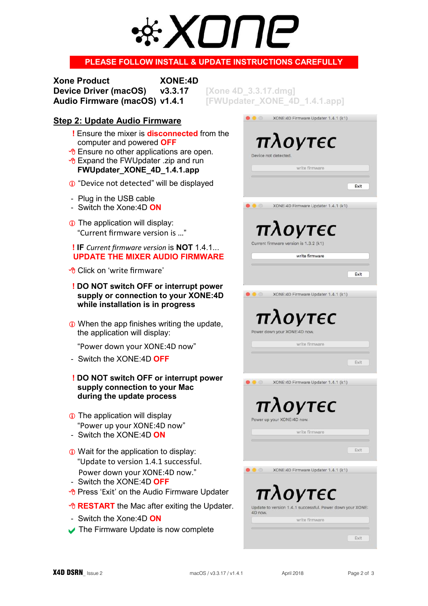# 7 II II-

# **PLEASE FOLLOW INSTALL & UPDATE INSTRUCTIONS CAREFULLY**

**Xone Product XONE:4D Device Driver (macOS) v3.3.17. [Xone 4D Audio Firmware (macOS) v1.4.1 FIWUpdate** 

# **Step 2: Update Audio Firmware**

- **!** Ensure the mixer is **disconnected** from the computer and powered **OFF**
- *T* Ensure no other applications are open.
- $\sqrt{\theta}$  Expand the FWUpdater .zip and run **FWUpdater\_XONE\_4D\_1.4.1.app**
- "Device not detected" will be displayed
- Plug in the USB cable
- Switch the Xone:4D **ON**
- **The application will display:** "Current firmware version is …"

### **! IF** *Current firmware version* is **NOT** 1.4.1...  **UPDATE THE MIXER AUDIO FIRMWARE**

- Click on 'write firmware'
- **! DO NOT switch OFF or interrupt power supply or connection to your XONE:4D while installation is in progress**
- **O** When the app finishes writing the update, the application will display:

"Power down your XONE:4D now"

- Switch the XONE:4D **OFF**
- **! DO NOT switch OFF or interrupt power supply connection to your Mac during the update process**
- **The application will display** "Power up your XONE:4D now"
- Switch the XONE:4D **ON**
- **ID** Wait for the application to display: "Update to version 1.4.1 successful. Power down your XONE:4D now."
- Switch the XONE:4D **OFF**
- <sup>8</sup> Press 'Exit' on the Audio Firmware Updater
- *<b>A RESTART* the Mac after exiting the Updater.
- Switch the Xone:4D **ON**
- The Firmware Update is now complete

|         | ater_XONE_4D_1.4.1.app]                                   |
|---------|-----------------------------------------------------------|
|         | XONE:4D Firmware Updater 1.4.1 (k1)                       |
|         | $\pi\lambda$ ογτες                                        |
|         | Device not detected.                                      |
|         | write firmware                                            |
|         |                                                           |
|         | Exit                                                      |
|         | XONE: 4D Firmware Updater 1.4.1 (k1)                      |
|         |                                                           |
|         | $\pi\lambda$ OVTEC                                        |
|         | Current firmware version is 1.3.2 (k1)                    |
|         | write firmware                                            |
|         | Exit                                                      |
|         |                                                           |
|         | XONE: 4D Firmware Updater 1.4.1 (k1)                      |
|         |                                                           |
|         | πλογτες                                                   |
|         | Power down your XONE:4D now.                              |
|         | write firmware                                            |
|         | Exit                                                      |
|         | XONE: 4D Firmware Updater 1.4.1 (k1)                      |
|         |                                                           |
|         | Οντ $\epsilon$                                            |
|         | Power up your XONE:4D now.                                |
|         | write firmware                                            |
|         |                                                           |
|         | Exit                                                      |
|         | XONE:4D Firmware Updater 1.4.1 (k1)                       |
|         |                                                           |
|         | πλογτες                                                   |
| 4D now. | Update to version 1.4.1 successful. Power down your XONE: |
|         | write firmware                                            |
|         | Exit                                                      |